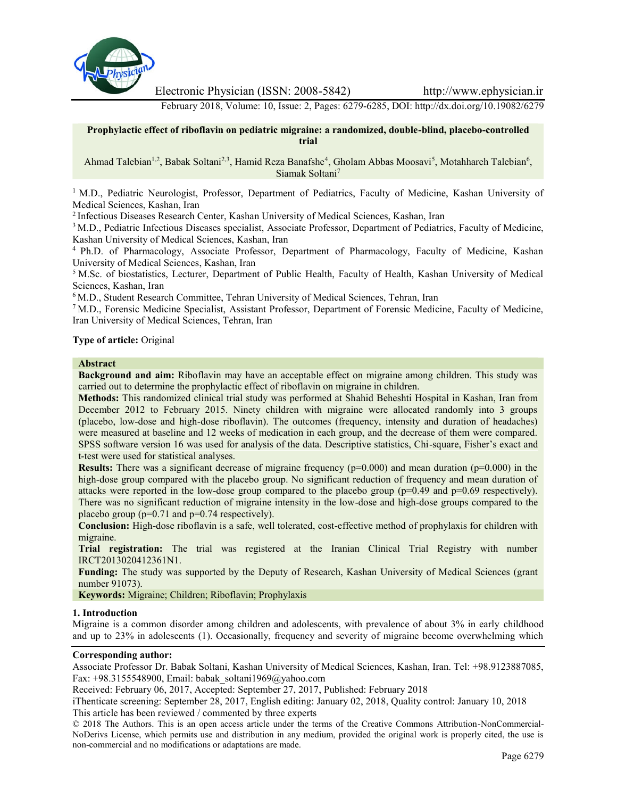

Electronic Physician (ISSN: 2008-5842) http://www.ephysician.ir

February 2018, Volume: 10, Issue: 2, Pages: 6279-6285, DOI: http://dx.doi.org/10.19082/6279

# **Prophylactic effect of riboflavin on pediatric migraine: a randomized, double-blind, placebo-controlled trial**

# Ahmad Talebian<sup>1,2</sup>, Babak Soltani<sup>2,3</sup>, Hamid Reza Banafshe<sup>4</sup>, Gholam Abbas Moosavi<sup>5</sup>, Motahhareh Talebian<sup>6</sup>, Siamak Soltani<sup>7</sup>

<sup>1</sup> M.D., Pediatric Neurologist, Professor, Department of Pediatrics, Faculty of Medicine, Kashan University of Medical Sciences, Kashan, Iran

<sup>2</sup> Infectious Diseases Research Center, Kashan University of Medical Sciences, Kashan, Iran

<sup>3</sup> M.D., Pediatric Infectious Diseases specialist, Associate Professor, Department of Pediatrics, Faculty of Medicine, Kashan University of Medical Sciences, Kashan, Iran

<sup>4</sup> Ph.D. of Pharmacology, Associate Professor, Department of Pharmacology, Faculty of Medicine, Kashan University of Medical Sciences, Kashan, Iran

<sup>5</sup> M.Sc. of biostatistics, Lecturer, Department of Public Health, Faculty of Health, Kashan University of Medical Sciences, Kashan, Iran

<sup>6</sup> M.D., Student Research Committee, Tehran University of Medical Sciences, Tehran, Iran

<sup>7</sup> M.D., Forensic Medicine Specialist, Assistant Professor, Department of Forensic Medicine, Faculty of Medicine, Iran University of Medical Sciences, Tehran, Iran

## **Type of article:** Original

### **Abstract**

**Background and aim:** Riboflavin may have an acceptable effect on migraine among children. This study was carried out to determine the prophylactic effect of riboflavin on migraine in children.

**Methods:** This randomized clinical trial study was performed at Shahid Beheshti Hospital in Kashan, Iran from December 2012 to February 2015. Ninety children with migraine were allocated randomly into 3 groups (placebo, low-dose and high-dose riboflavin). The outcomes (frequency, intensity and duration of headaches) were measured at baseline and 12 weeks of medication in each group, and the decrease of them were compared. SPSS software version 16 was used for analysis of the data. Descriptive statistics, Chi-square, Fisher's exact and t-test were used for statistical analyses.

**Results:** There was a significant decrease of migraine frequency ( $p=0.000$ ) and mean duration ( $p=0.000$ ) in the high-dose group compared with the placebo group. No significant reduction of frequency and mean duration of attacks were reported in the low-dose group compared to the placebo group (p=0.49 and p=0.69 respectively). There was no significant reduction of migraine intensity in the low-dose and high-dose groups compared to the placebo group (p=0.71 and p=0.74 respectively).

**Conclusion:** High-dose riboflavin is a safe, well tolerated, cost-effective method of prophylaxis for children with migraine.

**Trial registration:** The trial was registered at the Iranian Clinical Trial Registry with number IRCT2013020412361N1.

**Funding:** The study was supported by the Deputy of Research, Kashan University of Medical Sciences (grant number 91073).

**Keywords:** Migraine; Children; Riboflavin; Prophylaxis

### **1. Introduction**

Migraine is a common disorder among children and adolescents, with prevalence of about 3% in early childhood and up to 23% in adolescents (1). Occasionally, frequency and severity of migraine become overwhelming which

### **Corresponding author:**

Associate Professor Dr. Babak Soltani, Kashan University of Medical Sciences, Kashan, Iran. Tel: +98.9123887085, Fax: +98.3155548900, Email: babak\_soltani1969@yahoo.com

Received: February 06, 2017, Accepted: September 27, 2017, Published: February 2018

iThenticate screening: September 28, 2017, English editing: January 02, 2018, Quality control: January 10, 2018 This article has been reviewed / commented by three experts

© 2018 The Authors. This is an open access article under the terms of the Creative Commons Attribution-NonCommercial- NoDerivs License, which permits use and distribution in any medium, provided the original work is properly cited, the use is non-commercial and no modifications or adaptations are made.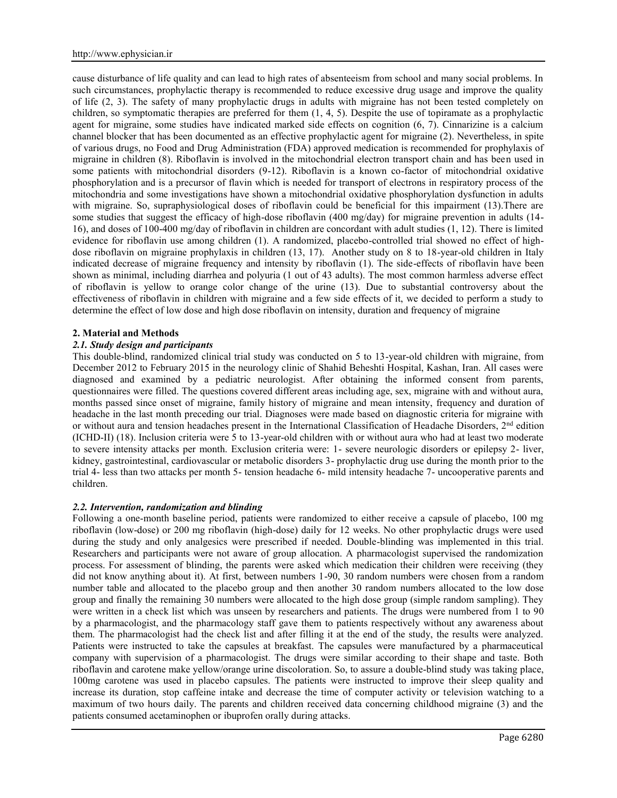cause disturbance of life quality and can lead to high rates of absenteeism from school and many social problems. In such circumstances, prophylactic therapy is recommended to reduce excessive drug usage and improve the quality of life (2, 3). The safety of many prophylactic drugs in adults with migraine has not been tested completely on children, so symptomatic therapies are preferred for them (1, 4, 5). Despite the use of topiramate as a prophylactic agent for migraine, some studies have indicated marked side effects on cognition (6, 7). Cinnarizine is a calcium channel blocker that has been documented as an effective prophylactic agent for migraine (2). Nevertheless, in spite of various drugs, no Food and Drug Administration (FDA) approved medication is recommended for prophylaxis of migraine in children (8). Riboflavin is involved in the mitochondrial electron transport chain and has been used in some patients with mitochondrial disorders (9-12). Riboflavin is a known co-factor of mitochondrial oxidative phosphorylation and is a precursor of flavin which is needed for transport of electrons in respiratory process of the mitochondria and some investigations have shown a mitochondrial oxidative phosphorylation dysfunction in adults with migraine. So, supraphysiological doses of riboflavin could be beneficial for this impairment (13). There are some studies that suggest the efficacy of high-dose riboflavin (400 mg/day) for migraine prevention in adults (14- 16), and doses of 100-400 mg/day of riboflavin in children are concordant with adult studies (1, 12). There is limited evidence for riboflavin use among children (1). A randomized, placebo-controlled trial showed no effect of high dose riboflavin on migraine prophylaxis in children (13, 17). Another study on 8 to 18-year-old children in Italy indicated decrease of migraine frequency and intensity by riboflavin (1). The side-effects of riboflavin have been shown as minimal, including diarrhea and polyuria (1 out of 43 adults). The most common harmless adverse effect of riboflavin is yellow to orange color change of the urine (13). Due to substantial controversy about the effectiveness of riboflavin in children with migraine and a few side effects of it, we decided to perform a study to determine the effect of low dose and high dose riboflavin on intensity, duration and frequency of migraine

## **2. Material and Methods**

## *2.1. Study design and participants*

This double-blind, randomized clinical trial study was conducted on 5 to 13-year-old children with migraine, from December 2012 to February 2015 in the neurology clinic of Shahid Beheshti Hospital, Kashan, Iran. All cases were diagnosed and examined by a pediatric neurologist. After obtaining the informed consent from parents, questionnaires were filled. The questions covered different areas including age, sex, migraine with and without aura, months passed since onset of migraine, family history of migraine and mean intensity, frequency and duration of headache in the last month preceding our trial. Diagnoses were made based on diagnostic criteria for migraine with or without aura and tension headaches present in the International Classification of Headache Disorders, 2nd edition (ICHD-ΙΙ) (18). Inclusion criteria were 5 to 13-year-old children with or without aura who had at least two moderate to severe intensity attacks per month. Exclusion criteria were: 1- severe neurologic disorders or epilepsy 2- liver, kidney, gastrointestinal, cardiovascular or metabolic disorders 3- prophylactic drug use during the month prior to the trial 4- less than two attacks per month 5- tension headache 6- mild intensity headache 7- uncooperative parents and children.

### *2.2. Intervention, randomization and blinding*

Following a one-month baseline period, patients were randomized to either receive a capsule of placebo, 100 mg riboflavin (low-dose) or 200 mg riboflavin (high-dose) daily for 12 weeks. No other prophylactic drugs were used during the study and only analgesics were prescribed if needed. Double-blinding was implemented in this trial. Researchers and participants were not aware of group allocation. A pharmacologist supervised the randomization process. For assessment of blinding, the parents were asked which medication their children were receiving (they did not know anything about it). At first, between numbers 1-90, 30 random numbers were chosen from a random number table and allocated to the placebo group and then another 30 random numbers allocated to the low dose group and finally the remaining 30 numbers were allocated to the high dose group (simple random sampling). They were written in a check list which was unseen by researchers and patients. The drugs were numbered from 1 to 90 by a pharmacologist, and the pharmacology staff gave them to patients respectively without any awareness about them. The pharmacologist had the check list and after filling it at the end of the study, the results were analyzed. Patients were instructed to take the capsules at breakfast. The capsules were manufactured by a pharmaceutical company with supervision of a pharmacologist. The drugs were similar according to their shape and taste. Both riboflavin and carotene make yellow/orange urine discoloration. So, to assure a double-blind study was taking place, 100mg carotene was used in placebo capsules. The patients were instructed to improve their sleep quality and increase its duration, stop caffeine intake and decrease the time of computer activity or television watching to a maximum of two hours daily. The parents and children received data concerning childhood migraine (3) and the patients consumed acetaminophen or ibuprofen orally during attacks.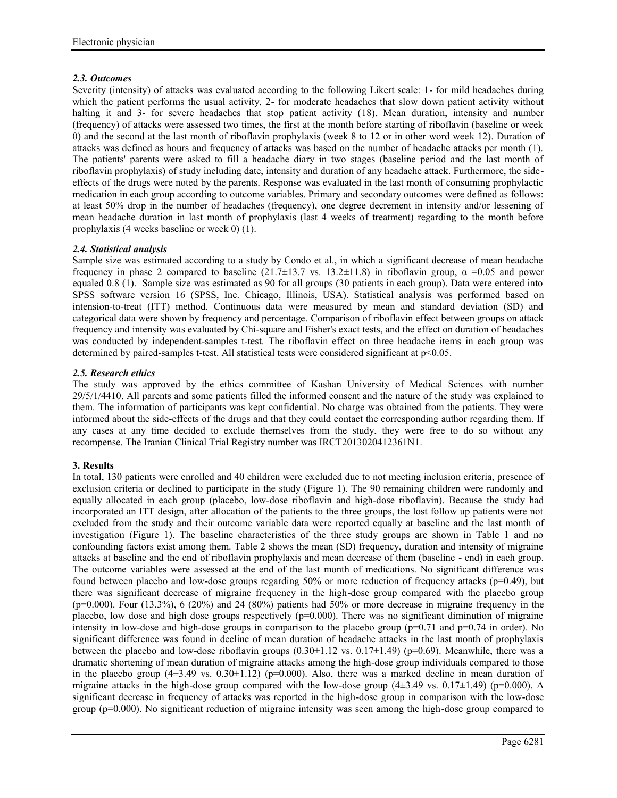# *2.3. Outcomes*

Severity (intensity) of attacks was evaluated according to the following Likert scale: 1- for mild headaches during which the patient performs the usual activity, 2- for moderate headaches that slow down patient activity without halting it and 3- for severe headaches that stop patient activity (18). Mean duration, intensity and number (frequency) of attacks were assessed two times, the first at the month before starting of riboflavin (baseline or week 0) and the second at the last month of riboflavin prophylaxis (week 8 to 12 or in other word week 12). Duration of attacks was defined as hours and frequency of attacks was based on the number of headache attacks per month (1). The patients' parents were asked to fill a headache diary in two stages (baseline period and the last month of riboflavin prophylaxis) of study including date, intensity and duration of any headache attack. Furthermore, the side effects of the drugs were noted by the parents. Response was evaluated in the last month of consuming prophylactic medication in each group according to outcome variables. Primary and secondary outcomes were defined as follows: at least 50% drop in the number of headaches (frequency), one degree decrement in intensity and/or lessening of mean headache duration in last month of prophylaxis (last 4 weeks of treatment) regarding to the month before prophylaxis (4 weeks baseline or week 0) (1).

# *2.4. Statistical analysis*

Sample size was estimated according to a study by Condo et al., in which a significant decrease of mean headache frequency in phase 2 compared to baseline (21.7 $\pm$ 13.7 vs. 13.2 $\pm$ 11.8) in riboflavin group,  $\alpha$  =0.05 and power equaled 0.8 (1). Sample size was estimated as 90 for all groups (30 patients in each group). Data were entered into SPSS software version 16 (SPSS, Inc. Chicago, Illinois, USA). Statistical analysis was performed based on intension-to-treat (ITT) method. Continuous data were measured by mean and standard deviation (SD) and categorical data were shown by frequency and percentage. Comparison of riboflavin effect between groups on attack frequency and intensity was evaluated by Chi-square and Fisher's exact tests, and the effect on duration of headaches was conducted by independent-samples t-test. The riboflavin effect on three headache items in each group was determined by paired-samples t-test. All statistical tests were considered significant at p<0.05.

# *2.5. Research ethics*

The study was approved by the ethics committee of Kashan University of Medical Sciences with number 29/5/1/4410. All parents and some patients filled the informed consent and the nature of the study was explained to them. The information of participants was kept confidential. No charge was obtained from the patients. They were informed about the side-effects of the drugs and that they could contact the corresponding author regarding them. If any cases at any time decided to exclude themselves from the study, they were free to do so without any recompense. The Iranian Clinical Trial Registry number was IRCT2013020412361N1.

# **3. Results**

In total, 130 patients were enrolled and 40 children were excluded due to not meeting inclusion criteria, presence of exclusion criteria or declined to participate in the study (Figure 1). The 90 remaining children were randomly and equally allocated in each group (placebo, low-dose riboflavin and high-dose riboflavin). Because the study had incorporated an ITT design, after allocation of the patients to the three groups, the lost follow up patients were not excluded from the study and their outcome variable data were reported equally at baseline and the last month of investigation (Figure 1). The baseline characteristics of the three study groups are shown in Table 1 and no confounding factors exist among them. Table 2 shows the mean (SD) frequency, duration and intensity of migraine attacks at baseline and the end of riboflavin prophylaxis and mean decrease of them (baseline - end) in each group. The outcome variables were assessed at the end of the last month of medications. No significant difference was found between placebo and low-dose groups regarding 50% or more reduction of frequency attacks (p=0.49), but there was significant decrease of migraine frequency in the high-dose group compared with the placebo group  $(p=0.000)$ . Four  $(13.3\%)$ , 6 (20%) and 24 (80%) patients had 50% or more decrease in migraine frequency in the placebo, low dose and high dose groups respectively (p=0.000). There was no significant diminution of migraine intensity in low-dose and high-dose groups in comparison to the placebo group  $(p=0.71$  and  $p=0.74$  in order). No significant difference was found in decline of mean duration of headache attacks in the last month of prophylaxis between the placebo and low-dose riboflavin groups  $(0.30\pm 1.12 \text{ vs. } 0.17\pm 1.49)$  (p=0.69). Meanwhile, there was a dramatic shortening of mean duration of migraine attacks among the high-dose group individuals compared to those in the placebo group  $(4\pm 3.49 \text{ vs. } 0.30\pm 1.12)$  (p=0.000). Also, there was a marked decline in mean duration of migraine attacks in the high-dose group compared with the low-dose group  $(4\pm 3.49 \text{ vs. } 0.17\pm 1.49)$  (p=0.000). A significant decrease in frequency of attacks was reported in the high-dose group in comparison with the low-dose group (p=0.000). No significant reduction of migraine intensity was seen among the high-dose group compared to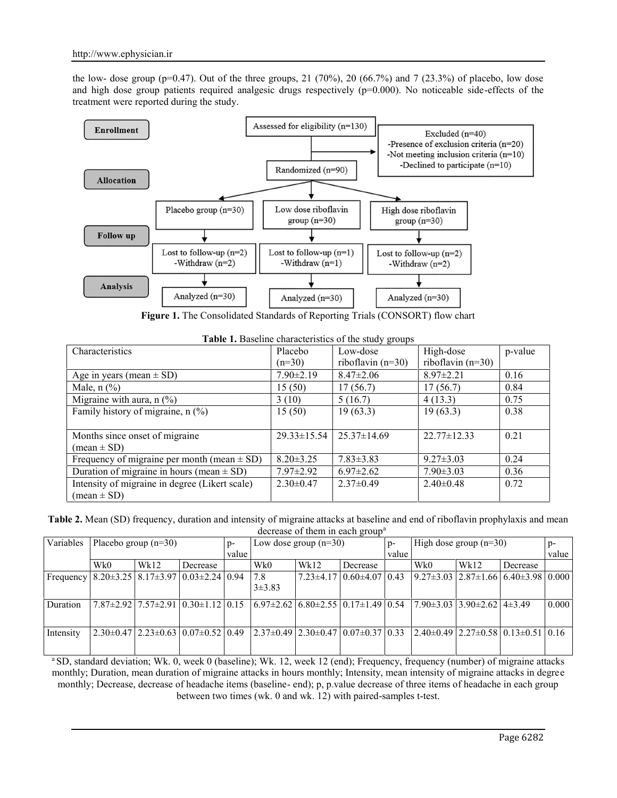the low- dose group (p=0.47). Out of the three groups, 21 (70%), 20 (66.7%) and 7 (23.3%) of placebo, low dose and high dose group patients required analgesic drugs respectively  $(p=0.000)$ . No noticeable side-effects of the treatment were reported during the study.



**Figure 1.** The Consolidated Standards of Reporting Trials (CONSORT) flow chart

| <b>Table 1.</b> Baseline characteristics of the study groups<br>$\overline{\phantom{a}}$ $\overline{\phantom{a}}$ $\overline{\phantom{a}}$ $\overline{\phantom{a}}$ $\overline{\phantom{a}}$ $\overline{\phantom{a}}$ $\overline{\phantom{a}}$ $\overline{\phantom{a}}$ $\overline{\phantom{a}}$ $\overline{\phantom{a}}$ $\overline{\phantom{a}}$ $\overline{\phantom{a}}$ $\overline{\phantom{a}}$ $\overline{\phantom{a}}$ $\overline{\phantom{a}}$ $\overline{\phantom{a}}$ $\overline{\phantom{a}}$ $\overline{\phantom{a}}$ $\overline{\$ |             |  |                       |  |  |
|-------------------------------------------------------------------------------------------------------------------------------------------------------------------------------------------------------------------------------------------------------------------------------------------------------------------------------------------------------------------------------------------------------------------------------------------------------------------------------------------------------------------------------------------------|-------------|--|-----------------------|--|--|
|                                                                                                                                                                                                                                                                                                                                                                                                                                                                                                                                                 | $1$ Dloocho |  | $\overline{\text{B}}$ |  |  |

| Characteristics                                 | Placebo           | Low-dose            | High-dose           | p-value |
|-------------------------------------------------|-------------------|---------------------|---------------------|---------|
|                                                 | $(n=30)$          | riboflavin $(n=30)$ | riboflavin $(n=30)$ |         |
| Age in years (mean $\pm$ SD)                    | $7.90 \pm 2.19$   | $8.47 \pm 2.06$     | $8.97 \pm 2.21$     | 0.16    |
| Male, $n$ $\left(\frac{9}{6}\right)$            | 15(50)            | 17(56.7)            | 17(56.7)            | 0.84    |
| Migraine with aura, $n$ (%)                     | 3(10)             | 5(16.7)             | 4(13.3)             | 0.75    |
| Family history of migraine, $n$ (%)             | 15(50)            | 19(63.3)            | 19(63.3)            | 0.38    |
|                                                 |                   |                     |                     |         |
| Months since onset of migraine                  | $29.33 \pm 15.54$ | $25.37 \pm 14.69$   | $22.77 \pm 12.33$   | 0.21    |
| $mean \pm SD$                                   |                   |                     |                     |         |
| Frequency of migraine per month (mean $\pm$ SD) | $8.20 \pm 3.25$   | $7.83 \pm 3.83$     | $9.27 \pm 3.03$     | 0.24    |
| Duration of migraine in hours (mean $\pm$ SD)   | $7.97 \pm 2.92$   | $6.97 \pm 2.62$     | $7.90 \pm 3.03$     | 0.36    |
| Intensity of migraine in degree (Likert scale)  | $2.30\pm0.47$     | $2.37 \pm 0.49$     | $2.40\pm0.48$       | 0.72    |
| $mean \pm SD$                                   |                   |                     |                     |         |

**Table 2.** Mean (SD) frequency, duration and intensity of migraine attacks at baseline and end of riboflavin prophylaxis and mean decrease of them in each group<sup>a</sup>

|           |                        |      |                                                        |       |                         | $\alpha$ and $\alpha$ or the $\alpha$ in the case $\alpha$ is the set of $\alpha$ |                                              |                          |                                          |      |                                                           |       |
|-----------|------------------------|------|--------------------------------------------------------|-------|-------------------------|-----------------------------------------------------------------------------------|----------------------------------------------|--------------------------|------------------------------------------|------|-----------------------------------------------------------|-------|
| Variables | Placebo group $(n=30)$ |      |                                                        |       | Low dose group $(n=30)$ |                                                                                   | $D -$                                        | High dose group $(n=30)$ |                                          |      | $D-$                                                      |       |
|           |                        |      |                                                        | value |                         |                                                                                   |                                              | value                    |                                          |      |                                                           |       |
|           | Wk0                    | Wk12 | Decrease                                               |       | Wk0                     | Wk12                                                                              | <b>Decrease</b>                              |                          | Wk0                                      | Wk12 | Decrease                                                  |       |
| Frequency |                        |      | $8.20\pm3.25$   $8.17\pm3.97$   $0.03\pm2.24$   $0.94$ |       | 7.8                     |                                                                                   | $7.23 \pm 4.17 \mid 0.60 \pm 4.07 \mid 0.43$ |                          |                                          |      | $ 9.27 \pm 3.03 $ 2.87 $\pm 1.66 $ 6.40 $\pm 3.98 0.000 $ |       |
|           |                        |      |                                                        |       | $3\pm3.83$              |                                                                                   |                                              |                          |                                          |      |                                                           |       |
| Duration  |                        |      | $7.87\pm2.92$   $7.57\pm2.91$   $0.30\pm1.12$   $0.15$ |       |                         | $(6.97\pm2.62)$ 6.80 $\pm2.55$ 0.17 $\pm1.49$ 0.54                                |                                              |                          | $7.90\pm3.03$ 3.90 $\pm2.62$ 4 $\pm3.49$ |      |                                                           | 0.000 |
| Intensity |                        |      | $2.30\pm0.47$ $2.23\pm0.63$ $0.07\pm0.52$ $0.49$       |       |                         | $2.37\pm0.49$ $2.30\pm0.47$ $0.07\pm0.37$ $0.33$                                  |                                              |                          |                                          |      | $2.40\pm0.49$ $2.27\pm0.58$ $0.13\pm0.51$ 0.16            |       |
|           |                        |      |                                                        |       |                         |                                                                                   |                                              |                          |                                          |      |                                                           |       |

<sup>a</sup> SD, standard deviation; Wk. 0, week 0 (baseline); Wk. 12, week 12 (end); Frequency, frequency (number) of migraine attacks monthly; Duration, mean duration of migraine attacks in hours monthly; Intensity, mean intensity of migraine attacks in degree monthly; Decrease, decrease of headache items (baseline- end); p, p.value decrease of three items of headache in each group between two times (wk. 0 and wk. 12) with paired-samples t-test.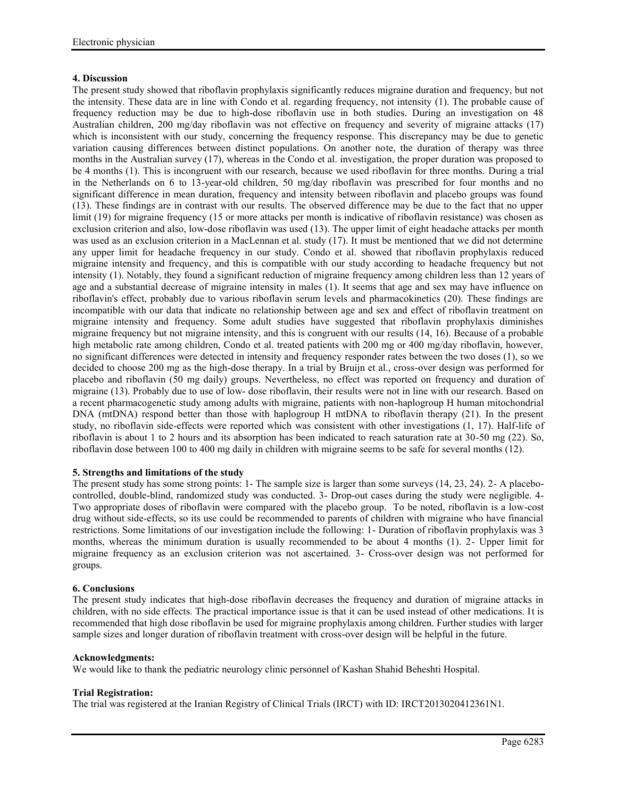# **4. Discussion**

The present study showed that riboflavin prophylaxis significantly reduces migraine duration and frequency, but not the intensity. These data are in line with Condo et al. regarding frequency, not intensity (1). The probable cause of frequency reduction may be due to high-dose riboflavin use in both studies. During an investigation on 48 Australian children, 200 mg/day riboflavin was not effective on frequency and severity of migraine attacks (17) which is inconsistent with our study, concerning the frequency response. This discrepancy may be due to genetic variation causing differences between distinct populations. On another note, the duration of therapy was three months in the Australian survey (17), whereas in the Condo et al. investigation, the proper duration was proposed to be 4 months (1). This is incongruent with our research, because we used riboflavin for three months. During a trial in the Netherlands on 6 to 13-year-old children, 50 mg/day riboflavin was prescribed for four months and no significant difference in mean duration, frequency and intensity between riboflavin and placebo groups was found (13). These findings are in contrast with our results. The observed difference may be due to the fact that no upper limit (19) for migraine frequency (15 or more attacks per month is indicative of riboflavin resistance) was chosen as exclusion criterion and also, low-dose riboflavin was used (13). The upper limit of eight headache attacks per month was used as an exclusion criterion in a MacLennan et al. study (17). It must be mentioned that we did not determine any upper limit for headache frequency in our study. Condo et al. showed that riboflavin prophylaxis reduced migraine intensity and frequency, and this is compatible with our study according to headache frequency but not intensity (1). Notably, they found a significant reduction of migraine frequency among children less than 12 years of age and a substantial decrease of migraine intensity in males (1). It seems that age and sex may have influence on riboflavin's effect, probably due to various riboflavin serum levels and pharmacokinetics (20). These findings are incompatible with our data that indicate no relationship between age and sex and effect of riboflavin treatment on migraine intensity and frequency. Some adult studies have suggested that riboflavin prophylaxis diminishes migraine frequency but not migraine intensity, and this is congruent with our results (14, 16). Because of a probable high metabolic rate among children, Condo et al. treated patients with 200 mg or 400 mg/day riboflavin, however, no significant differences were detected in intensity and frequency responder rates between the two doses (1), so we decided to choose 200 mg as the high-dose therapy. In a trial by Bruijn et al., cross-over design was performed for placebo and riboflavin (50 mg daily) groups. Nevertheless, no effect was reported on frequency and duration of migraine (13). Probably due to use of low- dose riboflavin, their results were not in line with our research. Based on a recent pharmacogenetic study among adults with migraine, patients with non-haplogroup H human mitochondrial DNA (mtDNA) respond better than those with haplogroup H mtDNA to riboflavin therapy (21). In the present study, no riboflavin side-effects were reported which was consistent with other investigations (1, 17). Half-life of riboflavin is about 1 to 2 hours and its absorption has been indicated to reach saturation rate at 30-50 mg (22). So, riboflavin dose between 100 to 400 mg daily in children with migraine seems to be safe for several months (12).

# **5. Strengths and limitations of the study**

The present study has some strong points: 1- The sample size is larger than some surveys (14, 23, 24). 2- A placebo controlled, double-blind, randomized study was conducted. 3- Drop-out cases during the study were negligible. 4- Two appropriate doses of riboflavin were compared with the placebo group. To be noted, riboflavin is a low-cost drug without side-effects, so its use could be recommended to parents of children with migraine who have financial restrictions. Some limitations of our investigation include the following: 1- Duration of riboflavin prophylaxis was 3 months, whereas the minimum duration is usually recommended to be about 4 months (1). 2- Upper limit for migraine frequency as an exclusion criterion was not ascertained. 3- Cross-over design was not performed for groups.

### **6. Conclusions**

The present study indicates that high-dose riboflavin decreases the frequency and duration of migraine attacks in children, with no side effects. The practical importance issue is that it can be used instead of other medications. It is recommended that high dose riboflavin be used for migraine prophylaxis among children. Further studies with larger sample sizes and longer duration of riboflavin treatment with cross-over design will be helpful in the future.

### **Acknowledgments:**

We would like to thank the pediatric neurology clinic personnel of Kashan Shahid Beheshti Hospital.

### **Trial Registration:**

The trial was registered at the Iranian Registry of Clinical Trials (IRCT) with ID: IRCT2013020412361N1.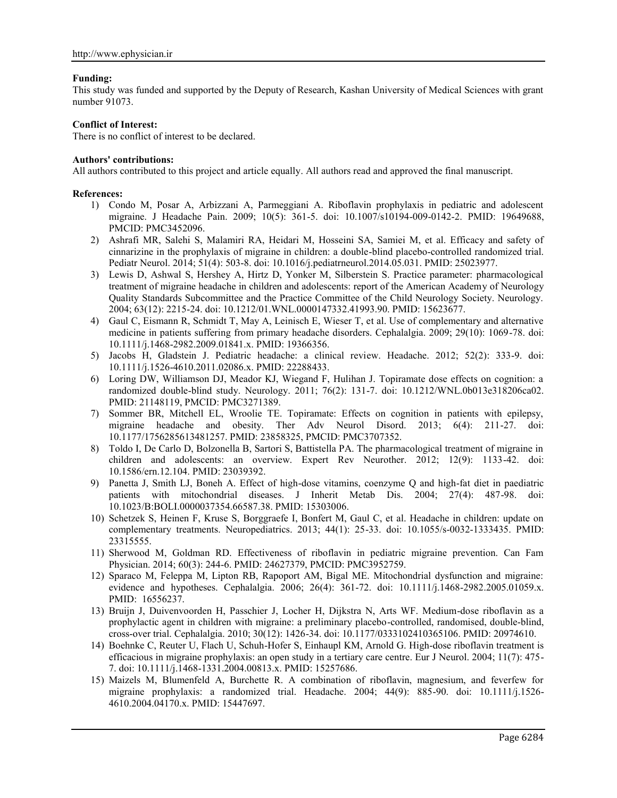# **Funding:**

This study was funded and supported by the Deputy of Research, Kashan University of Medical Sciences with grant number 91073.

# **Conflict of Interest:**

There is no conflict of interest to be declared.

# **Authors' contributions:**

All authors contributed to this project and article equally. All authors read and approved the final manuscript.

## **References:**

- 1) Condo M, Posar A, Arbizzani A, Parmeggiani A. Riboflavin prophylaxis in pediatric and adolescent migraine. J Headache Pain. 2009; 10(5): 361-5. doi: 10.1007/s10194-009-0142-2. PMID: 19649688, PMCID: PMC3452096.
- 2) Ashrafi MR, Salehi S, Malamiri RA, Heidari M, Hosseini SA, Samiei M, et al. Efficacy and safety of cinnarizine in the prophylaxis of migraine in children: a double-blind placebo-controlled randomized trial. Pediatr Neurol. 2014; 51(4): 503-8. doi: 10.1016/j.pediatrneurol.2014.05.031. PMID: 25023977.
- 3) Lewis D, Ashwal S, Hershey A, Hirtz D, Yonker M, Silberstein S. Practice parameter: pharmacological treatment of migraine headache in children and adolescents: report of the American Academy of Neurology Quality Standards Subcommittee and the Practice Committee of the Child Neurology Society. Neurology. 2004; 63(12): 2215-24. doi: 10.1212/01.WNL.0000147332.41993.90. PMID: 15623677.
- 4) Gaul C, Eismann R, Schmidt T, May A, Leinisch E, Wieser T, et al. Use of complementary and alternative medicine in patients suffering from primary headache disorders. Cephalalgia. 2009; 29(10): 1069-78. doi: 10.1111/j.1468-2982.2009.01841.x. PMID: 19366356.
- 5) Jacobs H, Gladstein J. Pediatric headache: a clinical review. Headache. 2012; 52(2): 333-9. doi: 10.1111/j.1526-4610.2011.02086.x. PMID: 22288433.
- 6) Loring DW, Williamson DJ, Meador KJ, Wiegand F, Hulihan J. Topiramate dose effects on cognition: a randomized double-blind study. Neurology. 2011; 76(2): 131-7. doi: 10.1212/WNL.0b013e318206ca02. PMID: 21148119, PMCID: PMC3271389.
- 7) Sommer BR, Mitchell EL, Wroolie TE. Topiramate: Effects on cognition in patients with epilepsy, migraine headache and obesity. Ther Adv Neurol Disord. 2013; 6(4): 211-27. doi: 10.1177/1756285613481257. PMID: 23858325, PMCID: PMC3707352.
- 8) Toldo I, De Carlo D, Bolzonella B, Sartori S, Battistella PA. The pharmacological treatment of migraine in children and adolescents: an overview. Expert Rev Neurother. 2012; 12(9): 1133-42. doi: 10.1586/ern.12.104. PMID: 23039392.
- 9) Panetta J, Smith LJ, Boneh A. Effect of high-dose vitamins, coenzyme Q and high-fat diet in paediatric patients with mitochondrial diseases. J Inherit Metab Dis. 2004; 27(4): 487-98. doi: 10.1023/B:BOLI.0000037354.66587.38. PMID: 15303006.
- 10) Schetzek S, Heinen F, Kruse S, Borggraefe I, Bonfert M, Gaul C, et al. Headache in children: update on complementary treatments. Neuropediatrics. 2013; 44(1): 25-33. doi: 10.1055/s-0032-1333435. PMID: 23315555.
- 11) Sherwood M, Goldman RD. Effectiveness of riboflavin in pediatric migraine prevention. Can Fam Physician. 2014; 60(3): 244-6. PMID: 24627379, PMCID: PMC3952759.
- 12) Sparaco M, Feleppa M, Lipton RB, Rapoport AM, Bigal ME. Mitochondrial dysfunction and migraine: evidence and hypotheses. Cephalalgia. 2006; 26(4): 361-72. doi: 10.1111/j.1468-2982.2005.01059.x. PMID: 16556237.
- 13) Bruijn J, Duivenvoorden H, Passchier J, Locher H, Dijkstra N, Arts WF. Medium-dose riboflavin as a prophylactic agent in children with migraine: a preliminary placebo-controlled, randomised, double-blind, cross-over trial. Cephalalgia. 2010; 30(12): 1426-34. doi: 10.1177/0333102410365106. PMID: 20974610.
- 14) Boehnke C, Reuter U, Flach U, Schuh-Hofer S, Einhaupl KM, Arnold G. High-dose riboflavin treatment is efficacious in migraine prophylaxis: an open study in a tertiary care centre. Eur J Neurol. 2004; 11(7): 475- 7. doi: 10.1111/j.1468-1331.2004.00813.x. PMID: 15257686.
- 15) Maizels M, Blumenfeld A, Burchette R. A combination of riboflavin, magnesium, and feverfew for migraine prophylaxis: a randomized trial. Headache. 2004; 44(9): 885-90. doi: 10.1111/j.1526- 4610.2004.04170.x. PMID: 15447697.